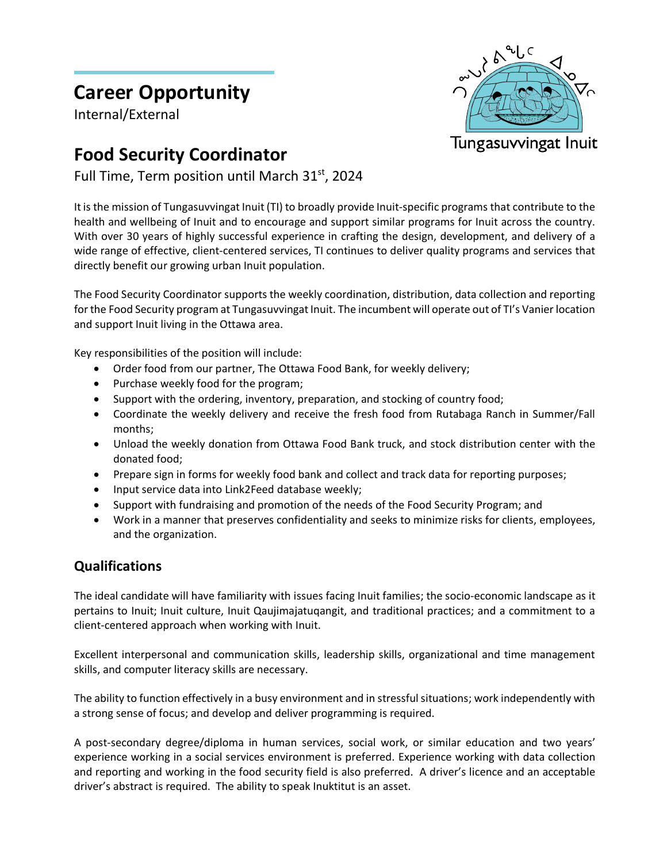# **Career Opportunity**

Internal/External

# Tungasuvvingat Inuit

## **Food Security Coordinator**

Full Time, Term position until March 31<sup>st</sup>, 2024

It is the mission of Tungasuvvingat Inuit (TI) to broadly provide Inuit-specific programs that contribute to the health and wellbeing of Inuit and to encourage and support similar programs for Inuit across the country. With over 30 years of highly successful experience in crafting the design, development, and delivery of a wide range of effective, client-centered services, TI continues to deliver quality programs and services that directly benefit our growing urban Inuit population.

The Food Security Coordinator supports the weekly coordination, distribution, data collection and reporting for the Food Security program at Tungasuvvingat Inuit. The incumbent will operate out of TI's Vanier location and support Inuit living in the Ottawa area.

Key responsibilities of the position will include:

- Order food from our partner, The Ottawa Food Bank, for weekly delivery;
- Purchase weekly food for the program;
- Support with the ordering, inventory, preparation, and stocking of country food;
- Coordinate the weekly delivery and receive the fresh food from Rutabaga Ranch in Summer/Fall months;
- Unload the weekly donation from Ottawa Food Bank truck, and stock distribution center with the donated food;
- Prepare sign in forms for weekly food bank and collect and track data for reporting purposes;
- Input service data into Link2Feed database weekly;
- Support with fundraising and promotion of the needs of the Food Security Program; and
- Work in a manner that preserves confidentiality and seeks to minimize risks for clients, employees, and the organization.

### **Qualifications**

The ideal candidate will have familiarity with issues facing Inuit families; the socio-economic landscape as it pertains to Inuit; Inuit culture, Inuit Qaujimajatuqangit, and traditional practices; and a commitment to a client-centered approach when working with Inuit.

Excellent interpersonal and communication skills, leadership skills, organizational and time management skills, and computer literacy skills are necessary.

The ability to function effectively in a busy environment and in stressful situations; work independently with a strong sense of focus; and develop and deliver programming is required.

A post-secondary degree/diploma in human services, social work, or similar education and two years' experience working in a social services environment is preferred. Experience working with data collection and reporting and working in the food security field is also preferred. A driver's licence and an acceptable driver's abstract is required. The ability to speak Inuktitut is an asset.